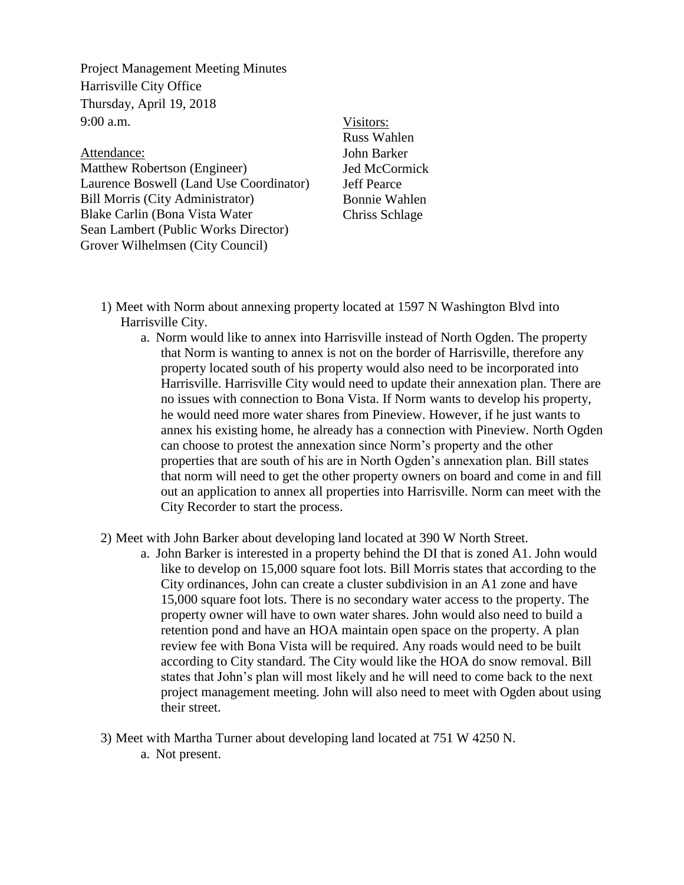Project Management Meeting Minutes Harrisville City Office Thursday, April 19, 2018 9:00 a.m.

Attendance: Matthew Robertson (Engineer) Laurence Boswell (Land Use Coordinator) Bill Morris (City Administrator) Blake Carlin (Bona Vista Water Sean Lambert (Public Works Director) Grover Wilhelmsen (City Council)

## Visitors:

Russ Wahlen John Barker Jed McCormick Jeff Pearce Bonnie Wahlen Chriss Schlage

- 1) Meet with Norm about annexing property located at 1597 N Washington Blvd into Harrisville City.
	- a. Norm would like to annex into Harrisville instead of North Ogden. The property that Norm is wanting to annex is not on the border of Harrisville, therefore any property located south of his property would also need to be incorporated into Harrisville. Harrisville City would need to update their annexation plan. There are no issues with connection to Bona Vista. If Norm wants to develop his property, he would need more water shares from Pineview. However, if he just wants to annex his existing home, he already has a connection with Pineview. North Ogden can choose to protest the annexation since Norm's property and the other properties that are south of his are in North Ogden's annexation plan. Bill states that norm will need to get the other property owners on board and come in and fill out an application to annex all properties into Harrisville. Norm can meet with the City Recorder to start the process.
- 2) Meet with John Barker about developing land located at 390 W North Street.
	- a. John Barker is interested in a property behind the DI that is zoned A1. John would like to develop on 15,000 square foot lots. Bill Morris states that according to the City ordinances, John can create a cluster subdivision in an A1 zone and have 15,000 square foot lots. There is no secondary water access to the property. The property owner will have to own water shares. John would also need to build a retention pond and have an HOA maintain open space on the property. A plan review fee with Bona Vista will be required. Any roads would need to be built according to City standard. The City would like the HOA do snow removal. Bill states that John's plan will most likely and he will need to come back to the next project management meeting. John will also need to meet with Ogden about using their street.
- 3) Meet with Martha Turner about developing land located at 751 W 4250 N. a. Not present.